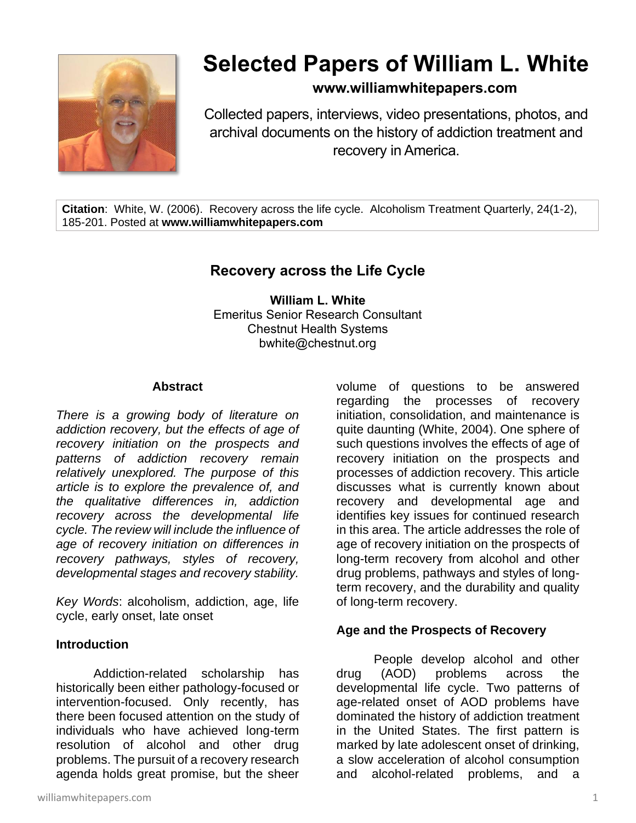

# **Selected Papers of William L. White**

## **www.williamwhitepapers.com**

Collected papers, interviews, video presentations, photos, and archival documents on the history of addiction treatment and recovery in America.

**Citation**: White, W. (2006). Recovery across the life cycle. Alcoholism Treatment Quarterly, 24(1-2), 185-201. Posted at **www.williamwhitepapers.com**

# **Recovery across the Life Cycle**

**William L. White** Emeritus Senior Research Consultant Chestnut Health Systems bwhite@chestnut.org

#### **Abstract**

*There is a growing body of literature on addiction recovery, but the effects of age of recovery initiation on the prospects and patterns of addiction recovery remain relatively unexplored. The purpose of this article is to explore the prevalence of, and the qualitative differences in, addiction recovery across the developmental life cycle. The review will include the influence of age of recovery initiation on differences in recovery pathways, styles of recovery, developmental stages and recovery stability.* 

*Key Words*: alcoholism, addiction, age, life cycle, early onset, late onset

#### **Introduction**

Addiction-related scholarship has historically been either pathology-focused or intervention-focused. Only recently, has there been focused attention on the study of individuals who have achieved long-term resolution of alcohol and other drug problems. The pursuit of a recovery research agenda holds great promise, but the sheer regarding the processes of recovery initiation, consolidation, and maintenance is quite daunting (White, 2004). One sphere of such questions involves the effects of age of recovery initiation on the prospects and processes of addiction recovery. This article discusses what is currently known about recovery and developmental age and identifies key issues for continued research in this area. The article addresses the role of age of recovery initiation on the prospects of long-term recovery from alcohol and other drug problems, pathways and styles of longterm recovery, and the durability and quality of long-term recovery.

volume of questions to be answered

## **Age and the Prospects of Recovery**

People develop alcohol and other drug (AOD) problems across the developmental life cycle. Two patterns of age-related onset of AOD problems have dominated the history of addiction treatment in the United States. The first pattern is marked by late adolescent onset of drinking, a slow acceleration of alcohol consumption and alcohol-related problems, and a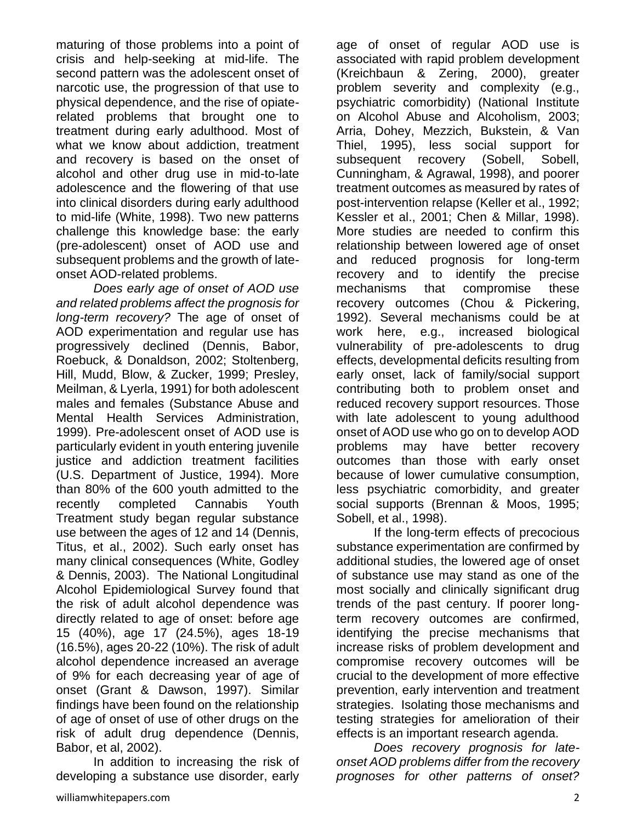maturing of those problems into a point of crisis and help-seeking at mid-life. The second pattern was the adolescent onset of narcotic use, the progression of that use to physical dependence, and the rise of opiaterelated problems that brought one to treatment during early adulthood. Most of what we know about addiction, treatment and recovery is based on the onset of alcohol and other drug use in mid-to-late adolescence and the flowering of that use into clinical disorders during early adulthood to mid-life (White, 1998). Two new patterns challenge this knowledge base: the early (pre-adolescent) onset of AOD use and subsequent problems and the growth of lateonset AOD-related problems.

*Does early age of onset of AOD use and related problems affect the prognosis for long-term recovery?* The age of onset of AOD experimentation and regular use has progressively declined (Dennis, Babor, Roebuck, & Donaldson, 2002; Stoltenberg, Hill, Mudd, Blow, & Zucker, 1999; Presley, Meilman, & Lyerla, 1991) for both adolescent males and females (Substance Abuse and Mental Health Services Administration, 1999). Pre-adolescent onset of AOD use is particularly evident in youth entering juvenile justice and addiction treatment facilities (U.S. Department of Justice, 1994). More than 80% of the 600 youth admitted to the recently completed Cannabis Youth Treatment study began regular substance use between the ages of 12 and 14 (Dennis, Titus, et al., 2002). Such early onset has many clinical consequences (White, Godley & Dennis, 2003). The National Longitudinal Alcohol Epidemiological Survey found that the risk of adult alcohol dependence was directly related to age of onset: before age 15 (40%), age 17 (24.5%), ages 18-19 (16.5%), ages 20-22 (10%). The risk of adult alcohol dependence increased an average of 9% for each decreasing year of age of onset (Grant & Dawson, 1997). Similar findings have been found on the relationship of age of onset of use of other drugs on the risk of adult drug dependence (Dennis, Babor, et al, 2002).

In addition to increasing the risk of developing a substance use disorder, early age of onset of regular AOD use is associated with rapid problem development (Kreichbaun & Zering, 2000), greater problem severity and complexity (e.g., psychiatric comorbidity) (National Institute on Alcohol Abuse and Alcoholism, 2003; Arria, Dohey, Mezzich, Bukstein, & Van Thiel, 1995), less social support for subsequent recovery (Sobell, Sobell, Cunningham, & Agrawal, 1998), and poorer treatment outcomes as measured by rates of post-intervention relapse (Keller et al., 1992; Kessler et al., 2001; Chen & Millar, 1998). More studies are needed to confirm this relationship between lowered age of onset and reduced prognosis for long-term recovery and to identify the precise mechanisms that compromise these recovery outcomes (Chou & Pickering, 1992). Several mechanisms could be at work here, e.g., increased biological vulnerability of pre-adolescents to drug effects, developmental deficits resulting from early onset, lack of family/social support contributing both to problem onset and reduced recovery support resources. Those with late adolescent to young adulthood onset of AOD use who go on to develop AOD problems may have better recovery outcomes than those with early onset because of lower cumulative consumption, less psychiatric comorbidity, and greater social supports (Brennan & Moos, 1995; Sobell, et al., 1998).

If the long-term effects of precocious substance experimentation are confirmed by additional studies, the lowered age of onset of substance use may stand as one of the most socially and clinically significant drug trends of the past century. If poorer longterm recovery outcomes are confirmed, identifying the precise mechanisms that increase risks of problem development and compromise recovery outcomes will be crucial to the development of more effective prevention, early intervention and treatment strategies. Isolating those mechanisms and testing strategies for amelioration of their effects is an important research agenda.

*Does recovery prognosis for lateonset AOD problems differ from the recovery prognoses for other patterns of onset?*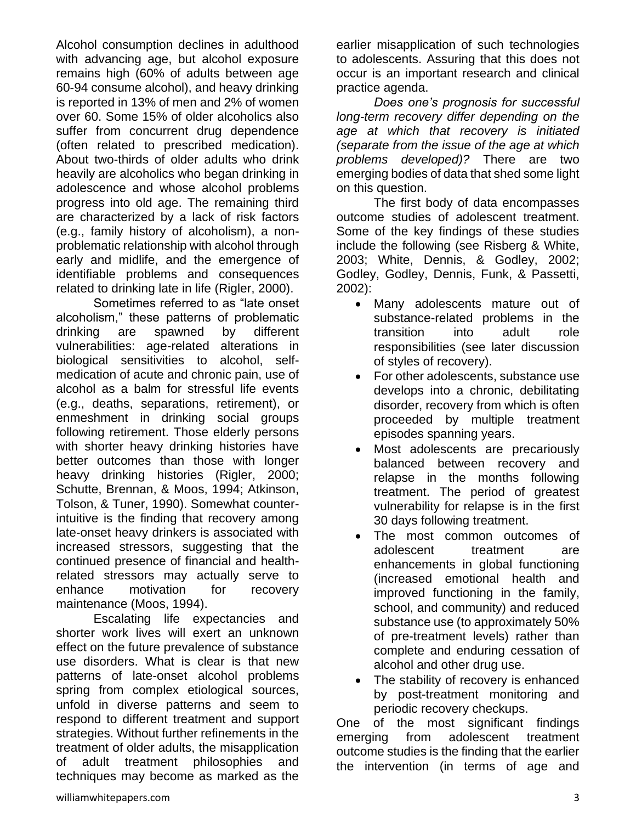Alcohol consumption declines in adulthood with advancing age, but alcohol exposure remains high (60% of adults between age 60-94 consume alcohol), and heavy drinking is reported in 13% of men and 2% of women over 60. Some 15% of older alcoholics also suffer from concurrent drug dependence (often related to prescribed medication). About two-thirds of older adults who drink heavily are alcoholics who began drinking in adolescence and whose alcohol problems progress into old age. The remaining third are characterized by a lack of risk factors (e.g., family history of alcoholism), a nonproblematic relationship with alcohol through early and midlife, and the emergence of identifiable problems and consequences related to drinking late in life (Rigler, 2000).

Sometimes referred to as "late onset alcoholism," these patterns of problematic drinking are spawned by different vulnerabilities: age-related alterations in biological sensitivities to alcohol, selfmedication of acute and chronic pain, use of alcohol as a balm for stressful life events (e.g., deaths, separations, retirement), or enmeshment in drinking social groups following retirement. Those elderly persons with shorter heavy drinking histories have better outcomes than those with longer heavy drinking histories (Rigler, 2000; Schutte, Brennan, & Moos, 1994; Atkinson, Tolson, & Tuner, 1990). Somewhat counterintuitive is the finding that recovery among late-onset heavy drinkers is associated with increased stressors, suggesting that the continued presence of financial and healthrelated stressors may actually serve to enhance motivation for recovery maintenance (Moos, 1994).

Escalating life expectancies and shorter work lives will exert an unknown effect on the future prevalence of substance use disorders. What is clear is that new patterns of late-onset alcohol problems spring from complex etiological sources, unfold in diverse patterns and seem to respond to different treatment and support strategies. Without further refinements in the treatment of older adults, the misapplication of adult treatment philosophies and techniques may become as marked as the

earlier misapplication of such technologies to adolescents. Assuring that this does not occur is an important research and clinical practice agenda.

*Does one's prognosis for successful long-term recovery differ depending on the age at which that recovery is initiated (separate from the issue of the age at which problems developed)?* There are two emerging bodies of data that shed some light on this question.

The first body of data encompasses outcome studies of adolescent treatment. Some of the key findings of these studies include the following (see Risberg & White, 2003; White, Dennis, & Godley, 2002; Godley, Godley, Dennis, Funk, & Passetti, 2002):

- Many adolescents mature out of substance-related problems in the transition into adult role responsibilities (see later discussion of styles of recovery).
- For other adolescents, substance use develops into a chronic, debilitating disorder, recovery from which is often proceeded by multiple treatment episodes spanning years.
- Most adolescents are precariously balanced between recovery and relapse in the months following treatment. The period of greatest vulnerability for relapse is in the first 30 days following treatment.
- The most common outcomes of adolescent treatment are enhancements in global functioning (increased emotional health and improved functioning in the family, school, and community) and reduced substance use (to approximately 50% of pre-treatment levels) rather than complete and enduring cessation of alcohol and other drug use.
- The stability of recovery is enhanced by post-treatment monitoring and periodic recovery checkups.

One of the most significant findings emerging from adolescent treatment outcome studies is the finding that the earlier the intervention (in terms of age and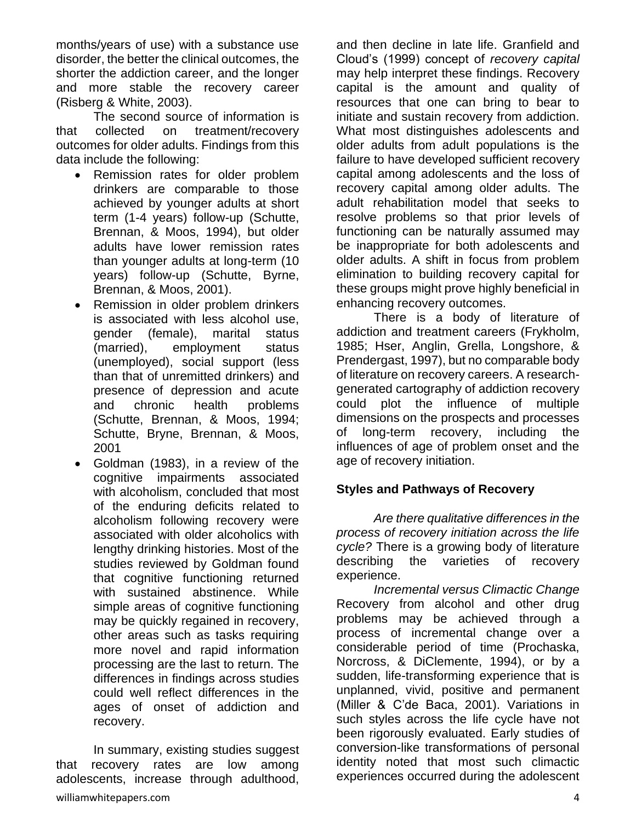months/years of use) with a substance use disorder, the better the clinical outcomes, the shorter the addiction career, and the longer and more stable the recovery career (Risberg & White, 2003).

The second source of information is that collected on treatment/recovery outcomes for older adults. Findings from this data include the following:

- Remission rates for older problem drinkers are comparable to those achieved by younger adults at short term (1-4 years) follow-up (Schutte, Brennan, & Moos, 1994), but older adults have lower remission rates than younger adults at long-term (10 years) follow-up (Schutte, Byrne, Brennan, & Moos, 2001).
- Remission in older problem drinkers is associated with less alcohol use, gender (female), marital status (married), employment status (unemployed), social support (less than that of unremitted drinkers) and presence of depression and acute and chronic health problems (Schutte, Brennan, & Moos, 1994; Schutte, Bryne, Brennan, & Moos, 2001
- Goldman (1983), in a review of the cognitive impairments associated with alcoholism, concluded that most of the enduring deficits related to alcoholism following recovery were associated with older alcoholics with lengthy drinking histories. Most of the studies reviewed by Goldman found that cognitive functioning returned with sustained abstinence. While simple areas of cognitive functioning may be quickly regained in recovery, other areas such as tasks requiring more novel and rapid information processing are the last to return. The differences in findings across studies could well reflect differences in the ages of onset of addiction and recovery.

In summary, existing studies suggest that recovery rates are low among adolescents, increase through adulthood,

williamwhitepapers.com 4

and then decline in late life. Granfield and Cloud's (1999) concept of *recovery capital* may help interpret these findings. Recovery capital is the amount and quality of resources that one can bring to bear to initiate and sustain recovery from addiction. What most distinguishes adolescents and older adults from adult populations is the failure to have developed sufficient recovery capital among adolescents and the loss of recovery capital among older adults. The adult rehabilitation model that seeks to resolve problems so that prior levels of functioning can be naturally assumed may be inappropriate for both adolescents and older adults. A shift in focus from problem elimination to building recovery capital for these groups might prove highly beneficial in enhancing recovery outcomes.

There is a body of literature of addiction and treatment careers (Frykholm, 1985; Hser, Anglin, Grella, Longshore, & Prendergast, 1997), but no comparable body of literature on recovery careers. A researchgenerated cartography of addiction recovery could plot the influence of multiple dimensions on the prospects and processes of long-term recovery, including the influences of age of problem onset and the age of recovery initiation.

## **Styles and Pathways of Recovery**

*Are there qualitative differences in the process of recovery initiation across the life cycle?* There is a growing body of literature describing the varieties of recovery experience.

*Incremental versus Climactic Change* Recovery from alcohol and other drug problems may be achieved through a process of incremental change over a considerable period of time (Prochaska, Norcross, & DiClemente, 1994), or by a sudden, life-transforming experience that is unplanned, vivid, positive and permanent (Miller & C'de Baca, 2001). Variations in such styles across the life cycle have not been rigorously evaluated. Early studies of conversion-like transformations of personal identity noted that most such climactic experiences occurred during the adolescent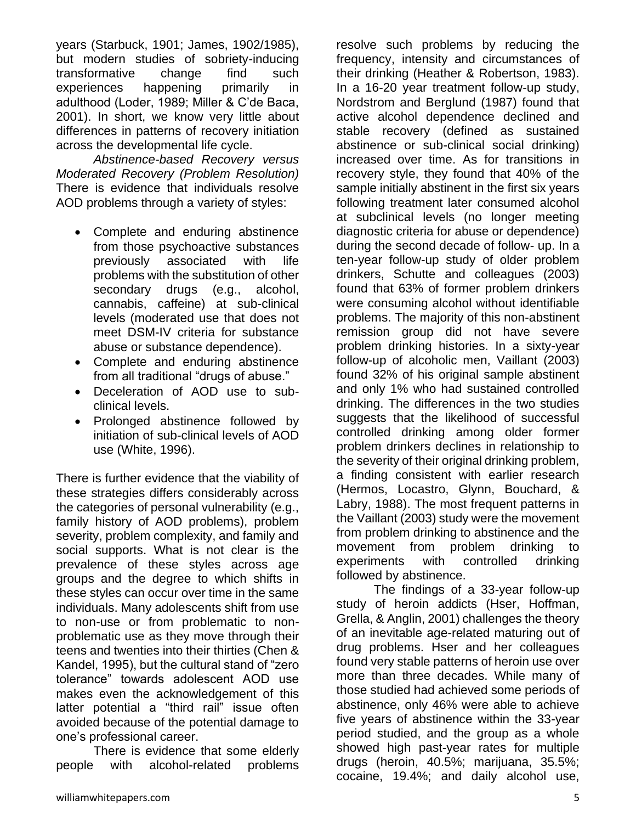years (Starbuck, 1901; James, 1902/1985), but modern studies of sobriety-inducing transformative change find such experiences happening primarily in adulthood (Loder, 1989; Miller & C'de Baca, 2001). In short, we know very little about differences in patterns of recovery initiation across the developmental life cycle.

*Abstinence-based Recovery versus Moderated Recovery (Problem Resolution)* There is evidence that individuals resolve AOD problems through a variety of styles:

- Complete and enduring abstinence from those psychoactive substances previously associated with life problems with the substitution of other secondary drugs (e.g., alcohol, cannabis, caffeine) at sub-clinical levels (moderated use that does not meet DSM-IV criteria for substance abuse or substance dependence).
- Complete and enduring abstinence from all traditional "drugs of abuse."
- Deceleration of AOD use to subclinical levels.
- Prolonged abstinence followed by initiation of sub-clinical levels of AOD use (White, 1996).

There is further evidence that the viability of these strategies differs considerably across the categories of personal vulnerability (e.g., family history of AOD problems), problem severity, problem complexity, and family and social supports. What is not clear is the prevalence of these styles across age groups and the degree to which shifts in these styles can occur over time in the same individuals. Many adolescents shift from use to non-use or from problematic to nonproblematic use as they move through their teens and twenties into their thirties (Chen & Kandel, 1995), but the cultural stand of "zero tolerance" towards adolescent AOD use makes even the acknowledgement of this latter potential a "third rail" issue often avoided because of the potential damage to one's professional career.

There is evidence that some elderly people with alcohol-related problems

resolve such problems by reducing the frequency, intensity and circumstances of their drinking (Heather & Robertson, 1983). In a 16-20 year treatment follow-up study, Nordstrom and Berglund (1987) found that active alcohol dependence declined and stable recovery (defined as sustained abstinence or sub-clinical social drinking) increased over time. As for transitions in recovery style, they found that 40% of the sample initially abstinent in the first six years following treatment later consumed alcohol at subclinical levels (no longer meeting diagnostic criteria for abuse or dependence) during the second decade of follow- up. In a ten-year follow-up study of older problem drinkers, Schutte and colleagues (2003) found that 63% of former problem drinkers were consuming alcohol without identifiable problems. The majority of this non-abstinent remission group did not have severe problem drinking histories. In a sixty-year follow-up of alcoholic men, Vaillant (2003) found 32% of his original sample abstinent and only 1% who had sustained controlled drinking. The differences in the two studies suggests that the likelihood of successful controlled drinking among older former problem drinkers declines in relationship to the severity of their original drinking problem, a finding consistent with earlier research (Hermos, Locastro, Glynn, Bouchard, & Labry, 1988). The most frequent patterns in the Vaillant (2003) study were the movement from problem drinking to abstinence and the movement from problem drinking to experiments with controlled drinking followed by abstinence.

The findings of a 33-year follow-up study of heroin addicts (Hser, Hoffman, Grella, & Anglin, 2001) challenges the theory of an inevitable age-related maturing out of drug problems. Hser and her colleagues found very stable patterns of heroin use over more than three decades. While many of those studied had achieved some periods of abstinence, only 46% were able to achieve five years of abstinence within the 33-year period studied, and the group as a whole showed high past-year rates for multiple drugs (heroin, 40.5%; marijuana, 35.5%; cocaine, 19.4%; and daily alcohol use,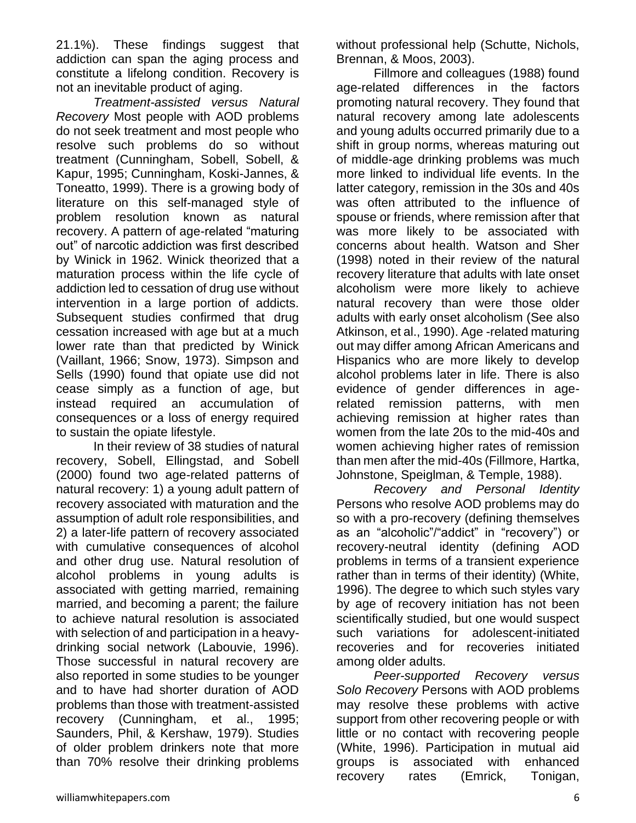21.1%). These findings suggest that addiction can span the aging process and constitute a lifelong condition. Recovery is not an inevitable product of aging.

*Treatment-assisted versus Natural Recovery* Most people with AOD problems do not seek treatment and most people who resolve such problems do so without treatment (Cunningham, Sobell, Sobell, & Kapur, 1995; Cunningham, Koski-Jannes, & Toneatto, 1999). There is a growing body of literature on this self-managed style of problem resolution known as natural recovery. A pattern of age-related "maturing out" of narcotic addiction was first described by Winick in 1962. Winick theorized that a maturation process within the life cycle of addiction led to cessation of drug use without intervention in a large portion of addicts. Subsequent studies confirmed that drug cessation increased with age but at a much lower rate than that predicted by Winick (Vaillant, 1966; Snow, 1973). Simpson and Sells (1990) found that opiate use did not cease simply as a function of age, but instead required an accumulation of consequences or a loss of energy required to sustain the opiate lifestyle.

In their review of 38 studies of natural recovery, Sobell, Ellingstad, and Sobell (2000) found two age-related patterns of natural recovery: 1) a young adult pattern of recovery associated with maturation and the assumption of adult role responsibilities, and 2) a later-life pattern of recovery associated with cumulative consequences of alcohol and other drug use. Natural resolution of alcohol problems in young adults is associated with getting married, remaining married, and becoming a parent; the failure to achieve natural resolution is associated with selection of and participation in a heavydrinking social network (Labouvie, 1996). Those successful in natural recovery are also reported in some studies to be younger and to have had shorter duration of AOD problems than those with treatment-assisted recovery (Cunningham, et al., 1995; Saunders, Phil, & Kershaw, 1979). Studies of older problem drinkers note that more than 70% resolve their drinking problems

without professional help (Schutte, Nichols, Brennan, & Moos, 2003).

Fillmore and colleagues (1988) found age-related differences in the factors promoting natural recovery. They found that natural recovery among late adolescents and young adults occurred primarily due to a shift in group norms, whereas maturing out of middle-age drinking problems was much more linked to individual life events. In the latter category, remission in the 30s and 40s was often attributed to the influence of spouse or friends, where remission after that was more likely to be associated with concerns about health. Watson and Sher (1998) noted in their review of the natural recovery literature that adults with late onset alcoholism were more likely to achieve natural recovery than were those older adults with early onset alcoholism (See also Atkinson, et al., 1990). Age -related maturing out may differ among African Americans and Hispanics who are more likely to develop alcohol problems later in life. There is also evidence of gender differences in agerelated remission patterns, with men achieving remission at higher rates than women from the late 20s to the mid-40s and women achieving higher rates of remission than men after the mid-40s (Fillmore, Hartka, Johnstone, Speiglman, & Temple, 1988).

*Recovery and Personal Identity* Persons who resolve AOD problems may do so with a pro-recovery (defining themselves as an "alcoholic"/"addict" in "recovery") or recovery-neutral identity (defining AOD problems in terms of a transient experience rather than in terms of their identity) (White, 1996). The degree to which such styles vary by age of recovery initiation has not been scientifically studied, but one would suspect such variations for adolescent-initiated recoveries and for recoveries initiated among older adults.

*Peer-supported Recovery versus Solo Recovery* Persons with AOD problems may resolve these problems with active support from other recovering people or with little or no contact with recovering people (White, 1996). Participation in mutual aid groups is associated with enhanced recovery rates (Emrick, Tonigan,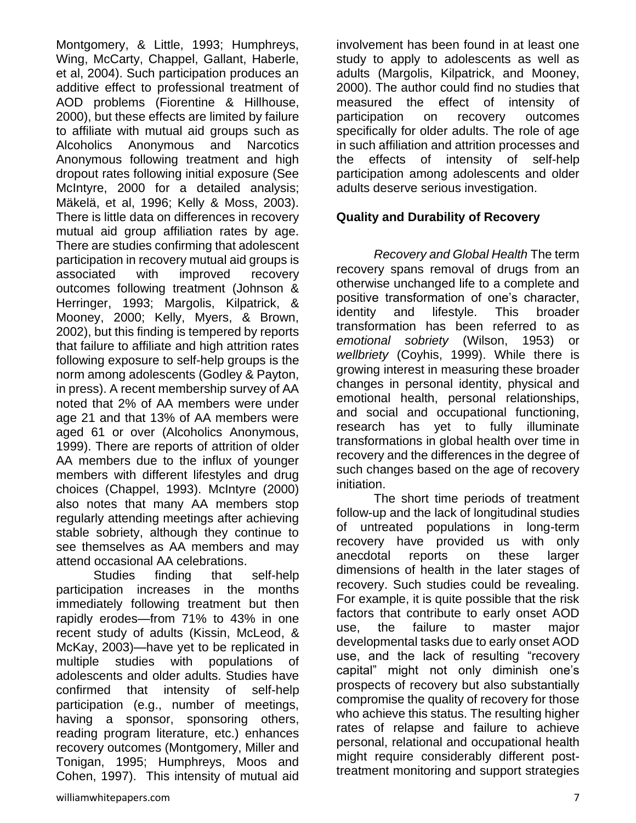Montgomery, & Little, 1993; Humphreys, Wing, McCarty, Chappel, Gallant, Haberle, et al, 2004). Such participation produces an additive effect to professional treatment of AOD problems (Fiorentine & Hillhouse, 2000), but these effects are limited by failure to affiliate with mutual aid groups such as Alcoholics Anonymous and Narcotics Anonymous following treatment and high dropout rates following initial exposure (See McIntyre, 2000 for a detailed analysis; Mäkelä, et al, 1996; Kelly & Moss, 2003). There is little data on differences in recovery mutual aid group affiliation rates by age. There are studies confirming that adolescent participation in recovery mutual aid groups is associated with improved recovery outcomes following treatment (Johnson & Herringer, 1993; Margolis, Kilpatrick, & Mooney, 2000; Kelly, Myers, & Brown, 2002), but this finding is tempered by reports that failure to affiliate and high attrition rates following exposure to self-help groups is the norm among adolescents (Godley & Payton, in press). A recent membership survey of AA noted that 2% of AA members were under age 21 and that 13% of AA members were aged 61 or over (Alcoholics Anonymous, 1999). There are reports of attrition of older AA members due to the influx of younger members with different lifestyles and drug choices (Chappel, 1993). McIntyre (2000) also notes that many AA members stop regularly attending meetings after achieving stable sobriety, although they continue to see themselves as AA members and may attend occasional AA celebrations.

Studies finding that self-help participation increases in the months immediately following treatment but then rapidly erodes—from 71% to 43% in one recent study of adults (Kissin, McLeod, & McKay, 2003)—have yet to be replicated in multiple studies with populations of adolescents and older adults. Studies have confirmed that intensity of self-help participation (e.g., number of meetings, having a sponsor, sponsoring others, reading program literature, etc.) enhances recovery outcomes (Montgomery, Miller and Tonigan, 1995; Humphreys, Moos and Cohen, 1997). This intensity of mutual aid

involvement has been found in at least one study to apply to adolescents as well as adults (Margolis, Kilpatrick, and Mooney, 2000). The author could find no studies that measured the effect of intensity of participation on recovery outcomes specifically for older adults. The role of age in such affiliation and attrition processes and the effects of intensity of self-help participation among adolescents and older adults deserve serious investigation.

## **Quality and Durability of Recovery**

*Recovery and Global Health* The term recovery spans removal of drugs from an otherwise unchanged life to a complete and positive transformation of one's character, identity and lifestyle. This broader transformation has been referred to as *emotional sobriety* (Wilson, 1953) or *wellbriety* (Coyhis, 1999). While there is growing interest in measuring these broader changes in personal identity, physical and emotional health, personal relationships, and social and occupational functioning, research has yet to fully illuminate transformations in global health over time in recovery and the differences in the degree of such changes based on the age of recovery initiation.

The short time periods of treatment follow-up and the lack of longitudinal studies of untreated populations in long-term recovery have provided us with only anecdotal reports on these larger dimensions of health in the later stages of recovery. Such studies could be revealing. For example, it is quite possible that the risk factors that contribute to early onset AOD use, the failure to master major developmental tasks due to early onset AOD use, and the lack of resulting "recovery capital" might not only diminish one's prospects of recovery but also substantially compromise the quality of recovery for those who achieve this status. The resulting higher rates of relapse and failure to achieve personal, relational and occupational health might require considerably different posttreatment monitoring and support strategies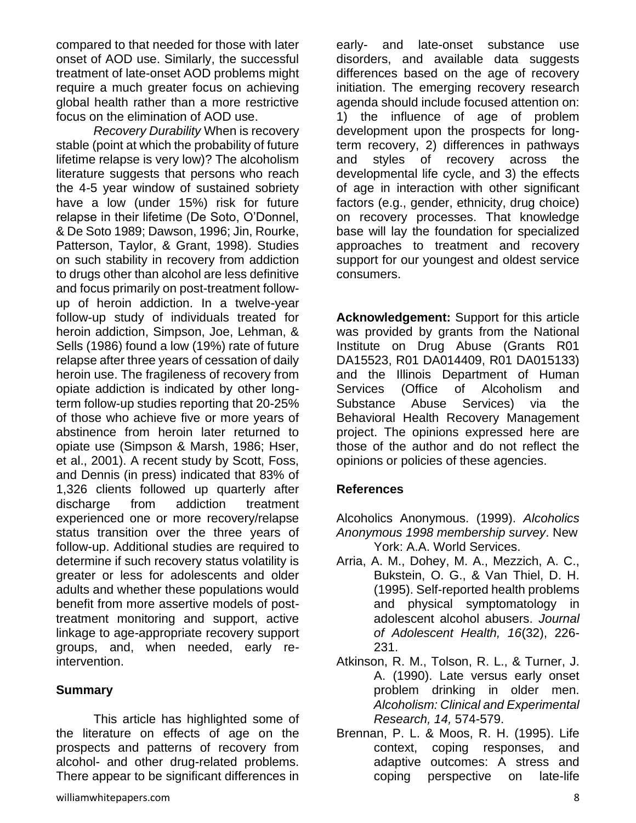compared to that needed for those with later onset of AOD use. Similarly, the successful treatment of late-onset AOD problems might require a much greater focus on achieving global health rather than a more restrictive focus on the elimination of AOD use.

*Recovery Durability* When is recovery stable (point at which the probability of future lifetime relapse is very low)? The alcoholism literature suggests that persons who reach the 4-5 year window of sustained sobriety have a low (under 15%) risk for future relapse in their lifetime (De Soto, O'Donnel, & De Soto 1989; Dawson, 1996; Jin, Rourke, Patterson, Taylor, & Grant, 1998). Studies on such stability in recovery from addiction to drugs other than alcohol are less definitive and focus primarily on post-treatment followup of heroin addiction. In a twelve-year follow-up study of individuals treated for heroin addiction, Simpson, Joe, Lehman, & Sells (1986) found a low (19%) rate of future relapse after three years of cessation of daily heroin use. The fragileness of recovery from opiate addiction is indicated by other longterm follow-up studies reporting that 20-25% of those who achieve five or more years of abstinence from heroin later returned to opiate use (Simpson & Marsh, 1986; Hser, et al., 2001). A recent study by Scott, Foss, and Dennis (in press) indicated that 83% of 1,326 clients followed up quarterly after discharge from addiction treatment experienced one or more recovery/relapse status transition over the three years of follow-up. Additional studies are required to determine if such recovery status volatility is greater or less for adolescents and older adults and whether these populations would benefit from more assertive models of posttreatment monitoring and support, active linkage to age-appropriate recovery support groups, and, when needed, early reintervention.

#### **Summary**

This article has highlighted some of the literature on effects of age on the prospects and patterns of recovery from alcohol- and other drug-related problems. There appear to be significant differences in

early- and late-onset substance use disorders, and available data suggests differences based on the age of recovery initiation. The emerging recovery research agenda should include focused attention on: 1) the influence of age of problem development upon the prospects for longterm recovery, 2) differences in pathways and styles of recovery across the developmental life cycle, and 3) the effects of age in interaction with other significant factors (e.g., gender, ethnicity, drug choice) on recovery processes. That knowledge base will lay the foundation for specialized approaches to treatment and recovery support for our youngest and oldest service consumers.

**Acknowledgement:** Support for this article was provided by grants from the National Institute on Drug Abuse (Grants R01 DA15523, R01 DA014409, R01 DA015133) and the Illinois Department of Human Services (Office of Alcoholism and Substance Abuse Services) via the Behavioral Health Recovery Management project. The opinions expressed here are those of the author and do not reflect the opinions or policies of these agencies.

## **References**

Alcoholics Anonymous. (1999). *Alcoholics Anonymous 1998 membership survey*. New York: A.A. World Services.

- Arria, A. M., Dohey, M. A., Mezzich, A. C., Bukstein, O. G., & Van Thiel, D. H. (1995). Self-reported health problems and physical symptomatology in adolescent alcohol abusers. *Journal of Adolescent Health, 16*(32), 226- 231.
- Atkinson, R. M., Tolson, R. L., & Turner, J. A. (1990). Late versus early onset problem drinking in older men. *Alcoholism: Clinical and Experimental Research, 14,* 574-579.
- Brennan, P. L. & Moos, R. H. (1995). Life context, coping responses, and adaptive outcomes: A stress and coping perspective on late-life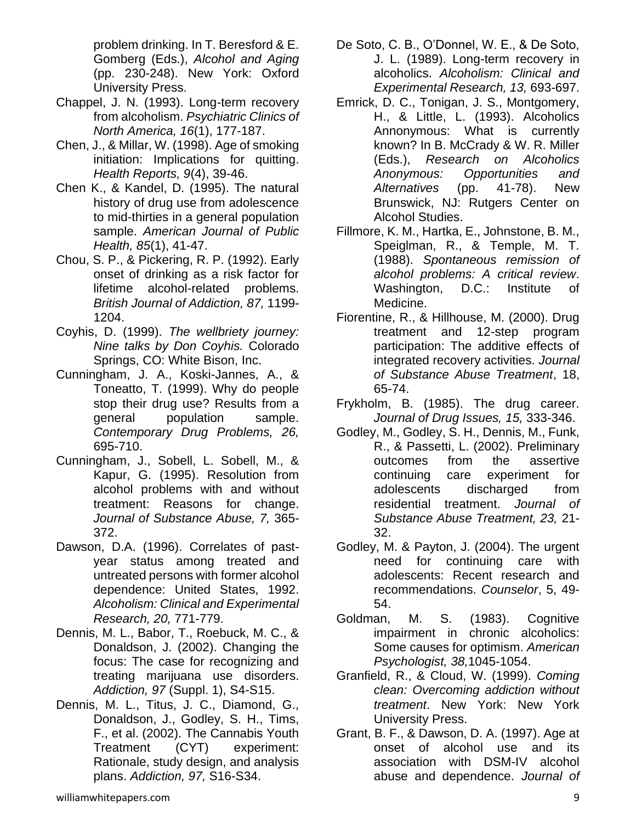problem drinking. In T. Beresford & E. Gomberg (Eds.), *Alcohol and Aging* (pp. 230-248). New York: Oxford University Press.

- Chappel, J. N. (1993). Long-term recovery from alcoholism. *Psychiatric Clinics of North America, 16*(1), 177-187.
- Chen, J., & Millar, W. (1998). Age of smoking initiation: Implications for quitting. *Health Reports, 9*(4), 39-46.
- Chen K., & Kandel, D. (1995). The natural history of drug use from adolescence to mid-thirties in a general population sample. *American Journal of Public Health, 85*(1), 41-47.
- Chou, S. P., & Pickering, R. P. (1992). Early onset of drinking as a risk factor for lifetime alcohol-related problems. *British Journal of Addiction, 87,* 1199- 1204.
- Coyhis, D. (1999). *The wellbriety journey: Nine talks by Don Coyhis.* Colorado Springs, CO: White Bison, Inc.
- Cunningham, J. A., Koski-Jannes, A., & Toneatto, T. (1999). Why do people stop their drug use? Results from a general population sample. *Contemporary Drug Problems, 26,* 695-710.
- Cunningham, J., Sobell, L. Sobell, M., & Kapur, G. (1995). Resolution from alcohol problems with and without treatment: Reasons for change. *Journal of Substance Abuse, 7,* 365- 372.
- Dawson, D.A. (1996). Correlates of pastyear status among treated and untreated persons with former alcohol dependence: United States, 1992. *Alcoholism: Clinical and Experimental Research, 20,* 771-779.
- Dennis, M. L., Babor, T., Roebuck, M. C., & Donaldson, J. (2002). Changing the focus: The case for recognizing and treating marijuana use disorders. *Addiction, 97* (Suppl. 1), S4-S15.
- Dennis, M. L., Titus, J. C., Diamond, G., Donaldson, J., Godley, S. H., Tims, F., et al. (2002). The Cannabis Youth Treatment (CYT) experiment: Rationale, study design, and analysis plans. *Addiction, 97,* S16-S34.
- De Soto, C. B., O'Donnel, W. E., & De Soto, J. L. (1989). Long-term recovery in alcoholics. *Alcoholism: Clinical and Experimental Research, 13,* 693-697.
- Emrick, D. C., Tonigan, J. S., Montgomery, H., & Little, L. (1993). Alcoholics Annonymous: What is currently known? In B. McCrady & W. R. Miller (Eds.), *Research on Alcoholics Anonymous: Opportunities and Alternatives* (pp. 41-78). New Brunswick, NJ: Rutgers Center on Alcohol Studies.
- Fillmore, K. M., Hartka, E., Johnstone, B. M., Speiglman, R., & Temple, M. T. (1988). *Spontaneous remission of alcohol problems: A critical review*. Washington, D.C.: Institute of Medicine.
- Fiorentine, R., & Hillhouse, M. (2000). Drug treatment and 12-step program participation: The additive effects of integrated recovery activities. *Journal of Substance Abuse Treatment*, 18, 65-74.
- Frykholm, B. (1985). The drug career. *Journal of Drug Issues, 15,* 333-346.
- Godley, M., Godley, S. H., Dennis, M., Funk, R., & Passetti, L. (2002). Preliminary outcomes from the assertive continuing care experiment for adolescents discharged from residential treatment. *Journal of Substance Abuse Treatment, 23,* 21- 32.
- Godley, M. & Payton, J. (2004). The urgent need for continuing care with adolescents: Recent research and recommendations. *Counselor*, 5, 49- 54.
- Goldman, M. S. (1983). Cognitive impairment in chronic alcoholics: Some causes for optimism. *American Psychologist, 38,*1045-1054.
- Granfield, R., & Cloud, W. (1999). *Coming clean: Overcoming addiction without treatment*. New York: New York University Press.
- Grant, B. F., & Dawson, D. A. (1997). Age at onset of alcohol use and its association with DSM-IV alcohol abuse and dependence. *Journal of*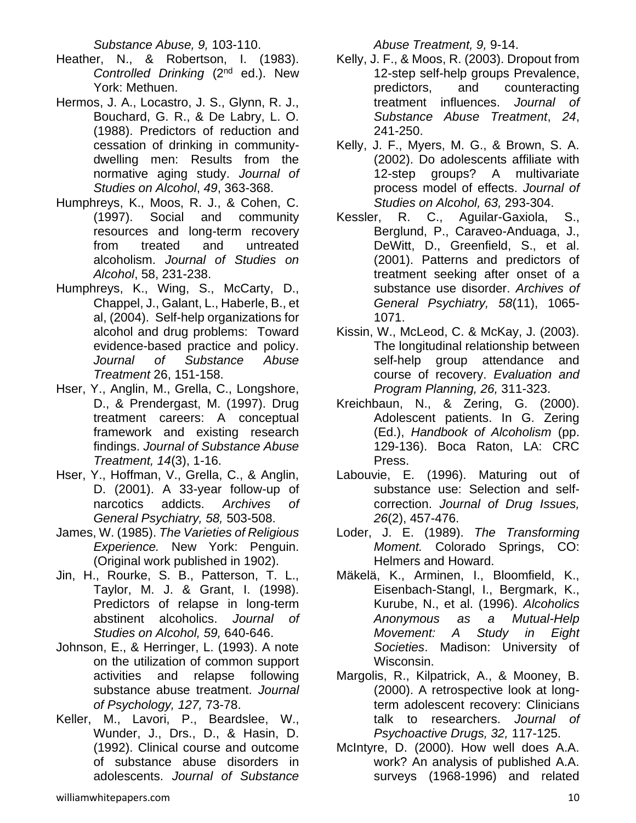*Substance Abuse, 9,* 103-110.

- Heather, N., & Robertson, I. (1983). *Controlled Drinking* (2nd ed.). New York: Methuen.
- Hermos, J. A., Locastro, J. S., Glynn, R. J., Bouchard, G. R., & De Labry, L. O. (1988). Predictors of reduction and cessation of drinking in communitydwelling men: Results from the normative aging study. *Journal of Studies on Alcohol*, *49*, 363-368.
- Humphreys, K., Moos, R. J., & Cohen, C. (1997). Social and community resources and long-term recovery from treated and untreated alcoholism. *Journal of Studies on Alcohol*, 58, 231-238.
- Humphreys, K., Wing, S., McCarty, D., Chappel, J., Galant, L., Haberle, B., et al, (2004). Self-help organizations for alcohol and drug problems: Toward evidence-based practice and policy. *Journal of Substance Abuse Treatment* 26, 151-158.
- Hser, Y., Anglin, M., Grella, C., Longshore, D., & Prendergast, M. (1997). Drug treatment careers: A conceptual framework and existing research findings. *Journal of Substance Abuse Treatment, 14*(3), 1-16.
- Hser, Y., Hoffman, V., Grella, C., & Anglin, D. (2001). A 33-year follow-up of narcotics addicts. *Archives of General Psychiatry, 58,* 503-508.
- James, W. (1985). *The Varieties of Religious Experience.* New York: Penguin. (Original work published in 1902).
- Jin, H., Rourke, S. B., Patterson, T. L., Taylor, M. J. & Grant, I. (1998). Predictors of relapse in long-term abstinent alcoholics. *Journal of Studies on Alcohol, 59,* 640-646.
- Johnson, E., & Herringer, L. (1993). A note on the utilization of common support activities and relapse following substance abuse treatment. *Journal of Psychology, 127,* 73-78.
- Keller, M., Lavori, P., Beardslee, W., Wunder, J., Drs., D., & Hasin, D. (1992). Clinical course and outcome of substance abuse disorders in adolescents. *Journal of Substance*

*Abuse Treatment, 9,* 9-14.

- Kelly, J. F., & Moos, R. (2003). Dropout from 12-step self-help groups Prevalence, predictors, and counteracting treatment influences. *Journal of Substance Abuse Treatment*, *24*, 241-250.
- Kelly, J. F., Myers, M. G., & Brown, S. A. (2002). Do adolescents affiliate with 12-step groups? A multivariate process model of effects. *Journal of Studies on Alcohol, 63,* 293-304.
- Kessler, R. C., Aguilar-Gaxiola, S., Berglund, P., Caraveo-Anduaga, J., DeWitt, D., Greenfield, S., et al. (2001). Patterns and predictors of treatment seeking after onset of a substance use disorder. *Archives of General Psychiatry, 58*(11), 1065- 1071.
- Kissin, W., McLeod, C. & McKay, J. (2003). The longitudinal relationship between self-help group attendance and course of recovery. *Evaluation and Program Planning, 26,* 311-323.
- Kreichbaun, N., & Zering, G. (2000). Adolescent patients. In G. Zering (Ed.), *Handbook of Alcoholism* (pp. 129-136). Boca Raton, LA: CRC Press.
- Labouvie, E. (1996). Maturing out of substance use: Selection and selfcorrection. *Journal of Drug Issues, 26*(2), 457-476.
- Loder, J. E. (1989). *The Transforming Moment.* Colorado Springs, CO: Helmers and Howard.
- Mäkelä, K., Arminen, I., Bloomfield, K., Eisenbach-Stangl, I., Bergmark, K., Kurube, N., et al. (1996). *Alcoholics Anonymous as a Mutual-Help Movement: A Study in Eight Societies*. Madison: University of Wisconsin.
- Margolis, R., Kilpatrick, A., & Mooney, B. (2000). A retrospective look at longterm adolescent recovery: Clinicians talk to researchers. *Journal of Psychoactive Drugs, 32,* 117-125.
- McIntyre, D. (2000). How well does A.A. work? An analysis of published A.A. surveys (1968-1996) and related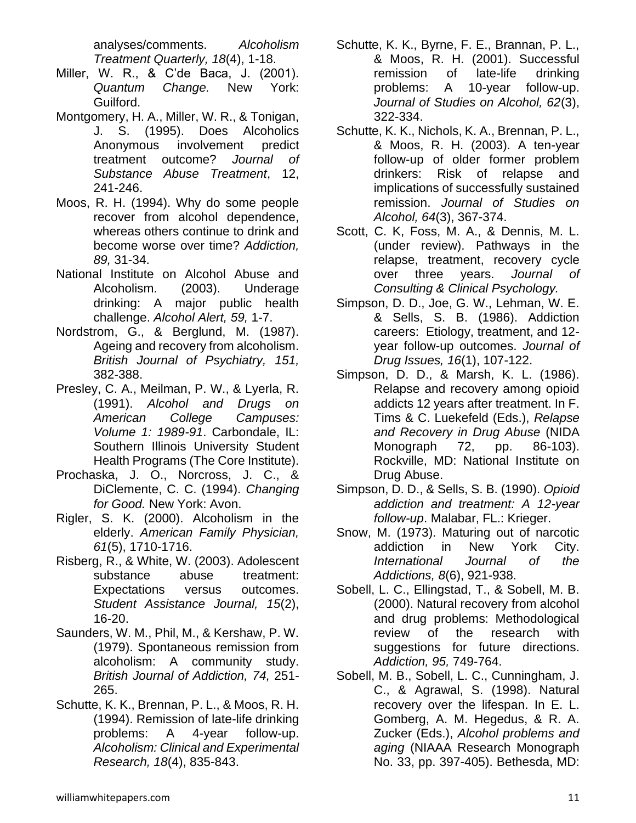analyses/comments. *Alcoholism Treatment Quarterly, 18*(4), 1-18.

- Miller, W. R., & C'de Baca, J. (2001). *Quantum Change.* New York: Guilford.
- Montgomery, H. A., Miller, W. R., & Tonigan, J. S. (1995). Does Alcoholics Anonymous involvement predict treatment outcome? *Journal of Substance Abuse Treatment*, 12, 241-246.
- Moos, R. H. (1994). Why do some people recover from alcohol dependence, whereas others continue to drink and become worse over time? *Addiction, 89,* 31-34.
- National Institute on Alcohol Abuse and Alcoholism. (2003). Underage drinking: A major public health challenge. *Alcohol Alert, 59,* 1-7.
- Nordstrom, G., & Berglund, M. (1987). Ageing and recovery from alcoholism. *British Journal of Psychiatry, 151,* 382-388.
- Presley, C. A., Meilman, P. W., & Lyerla, R. (1991). *Alcohol and Drugs on American College Campuses: Volume 1: 1989-91*. Carbondale, IL: Southern Illinois University Student Health Programs (The Core Institute).
- Prochaska, J. O., Norcross, J. C., & DiClemente, C. C. (1994). *Changing for Good.* New York: Avon.
- Rigler, S. K. (2000). Alcoholism in the elderly. *American Family Physician, 61*(5), 1710-1716.
- Risberg, R., & White, W. (2003). Adolescent substance abuse treatment: Expectations versus outcomes. *Student Assistance Journal, 15*(2), 16-20.
- Saunders, W. M., Phil, M., & Kershaw, P. W. (1979). Spontaneous remission from alcoholism: A community study. *British Journal of Addiction, 74,* 251- 265.
- Schutte, K. K., Brennan, P. L., & Moos, R. H. (1994). Remission of late-life drinking problems: A 4-year follow-up. *Alcoholism: Clinical and Experimental Research, 18*(4), 835-843.
- Schutte, K. K., Byrne, F. E., Brannan, P. L., & Moos, R. H. (2001). Successful remission of late-life drinking problems: A 10-year follow-up. *Journal of Studies on Alcohol, 62*(3), 322-334.
- Schutte, K. K., Nichols, K. A., Brennan, P. L., & Moos, R. H. (2003). A ten-year follow-up of older former problem drinkers: Risk of relapse and implications of successfully sustained remission. *Journal of Studies on Alcohol, 64*(3), 367-374.
- Scott, C. K, Foss, M. A., & Dennis, M. L. (under review). Pathways in the relapse, treatment, recovery cycle over three years. *Journal of Consulting & Clinical Psychology.*
- Simpson, D. D., Joe, G. W., Lehman, W. E. & Sells, S. B. (1986). Addiction careers: Etiology, treatment, and 12 year follow-up outcomes. *Journal of Drug Issues, 16*(1), 107-122.
- Simpson, D. D., & Marsh, K. L. (1986). Relapse and recovery among opioid addicts 12 years after treatment. In F. Tims & C. Luekefeld (Eds.), *Relapse and Recovery in Drug Abuse* (NIDA Monograph 72, pp. 86-103). Rockville, MD: National Institute on Drug Abuse.
- Simpson, D. D., & Sells, S. B. (1990). *Opioid addiction and treatment: A 12-year follow-up*. Malabar, FL.: Krieger.
- Snow, M. (1973). Maturing out of narcotic addiction in New York City. *International Journal of the Addictions, 8*(6), 921-938.
- Sobell, L. C., Ellingstad, T., & Sobell, M. B. (2000). Natural recovery from alcohol and drug problems: Methodological review of the research with suggestions for future directions. *Addiction, 95,* 749-764.
- Sobell, M. B., Sobell, L. C., Cunningham, J. C., & Agrawal, S. (1998). Natural recovery over the lifespan. In E. L. Gomberg, A. M. Hegedus, & R. A. Zucker (Eds.), *Alcohol problems and aging* (NIAAA Research Monograph No. 33, pp. 397-405). Bethesda, MD: